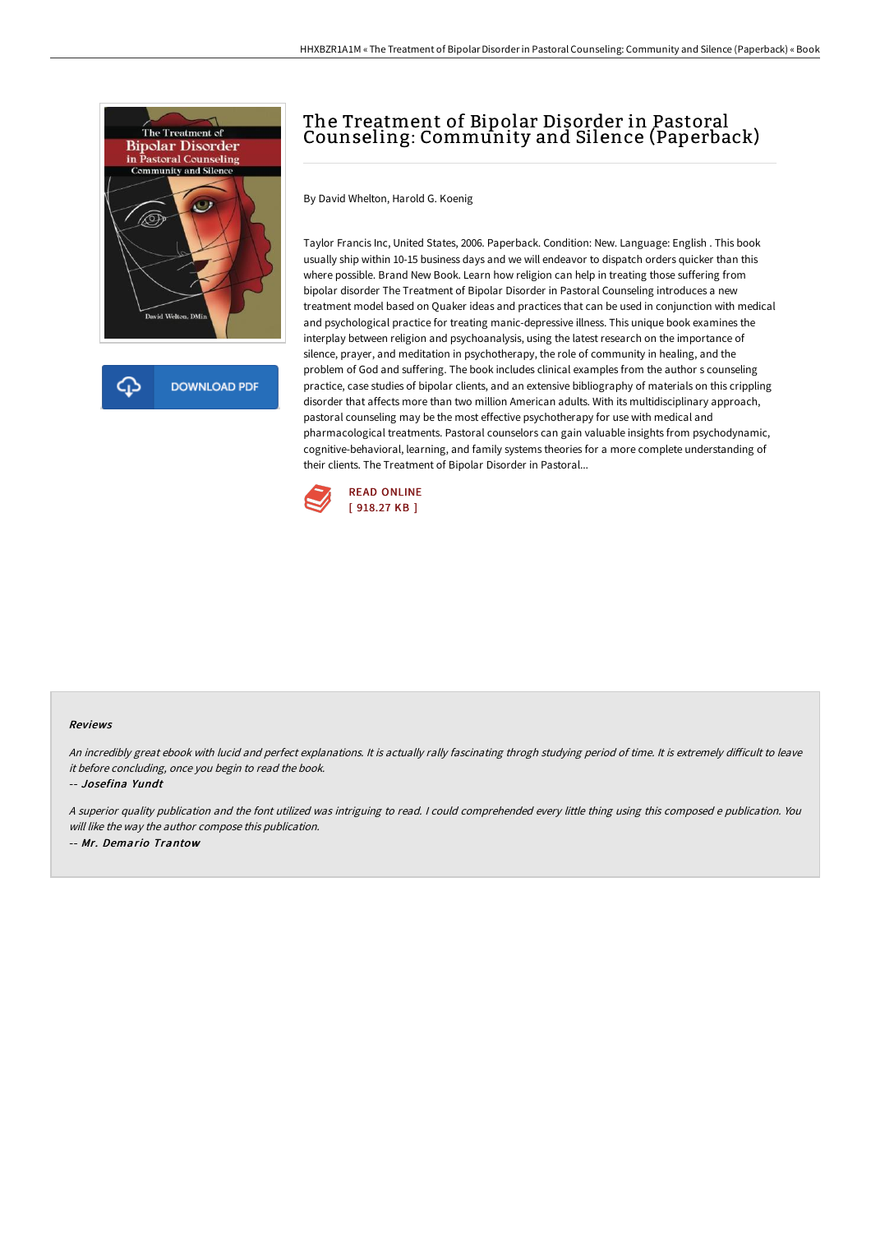

## The Treatment of Bipolar Disorder in Pastoral Counseling: Community and Silence (Paperback)

By David Whelton, Harold G. Koenig

Taylor Francis Inc, United States, 2006. Paperback. Condition: New. Language: English . This book usually ship within 10-15 business days and we will endeavor to dispatch orders quicker than this where possible. Brand New Book. Learn how religion can help in treating those suffering from bipolar disorder The Treatment of Bipolar Disorder in Pastoral Counseling introduces a new treatment model based on Quaker ideas and practices that can be used in conjunction with medical and psychological practice for treating manic-depressive illness. This unique book examines the interplay between religion and psychoanalysis, using the latest research on the importance of silence, prayer, and meditation in psychotherapy, the role of community in healing, and the problem of God and suffering. The book includes clinical examples from the author s counseling practice, case studies of bipolar clients, and an extensive bibliography of materials on this crippling disorder that affects more than two million American adults. With its multidisciplinary approach, pastoral counseling may be the most effective psychotherapy for use with medical and pharmacological treatments. Pastoral counselors can gain valuable insights from psychodynamic, cognitive-behavioral, learning, and family systems theories for a more complete understanding of their clients. The Treatment of Bipolar Disorder in Pastoral...



## Reviews

An incredibly great ebook with lucid and perfect explanations. It is actually rally fascinating throgh studying period of time. It is extremely difficult to leave it before concluding, once you begin to read the book.

-- Josefina Yundt

<sup>A</sup> superior quality publication and the font utilized was intriguing to read. <sup>I</sup> could comprehended every little thing using this composed <sup>e</sup> publication. You will like the way the author compose this publication. -- Mr. Demario Trantow